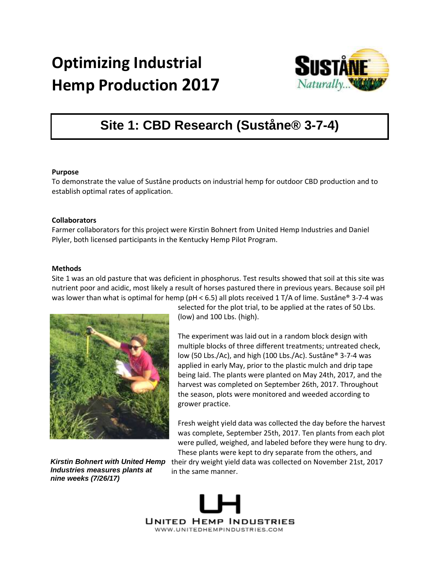# **Optimizing Industrial Hemp Production 2017**



# **Site 1: CBD Research (Suståne® 3-7-4)**

### **Purpose**

To demonstrate the value of Suståne products on industrial hemp for outdoor CBD production and to establish optimal rates of application.

# **Collaborators**

Farmer collaborators for this project were Kirstin Bohnert from United Hemp Industries and Daniel Plyler, both licensed participants in the Kentucky Hemp Pilot Program.

### **Methods**

Site 1 was an old pasture that was deficient in phosphorus. Test results showed that soil at this site was nutrient poor and acidic, most likely a result of horses pastured there in previous years. Because soil pH was lower than what is optimal for hemp (pH < 6.5) all plots received 1 T/A of lime. Suståne® 3-7-4 was



*Kirstin Bohnert with United Hemp Industries measures plants at nine weeks (7/26/17)*

selected for the plot trial, to be applied at the rates of 50 Lbs. (low) and 100 Lbs. (high).

The experiment was laid out in a random block design with multiple blocks of three different treatments; untreated check, low (50 Lbs./Ac), and high (100 Lbs./Ac). Suståne® 3-7-4 was applied in early May, prior to the plastic mulch and drip tape being laid. The plants were planted on May 24th, 2017, and the harvest was completed on September 26th, 2017. Throughout the season, plots were monitored and weeded according to grower practice.

Fresh weight yield data was collected the day before the harvest was complete, September 25th, 2017. Ten plants from each plot were pulled, weighed, and labeled before they were hung to dry. These plants were kept to dry separate from the others, and

their dry weight yield data was collected on November 21st, 2017 in the same manner.

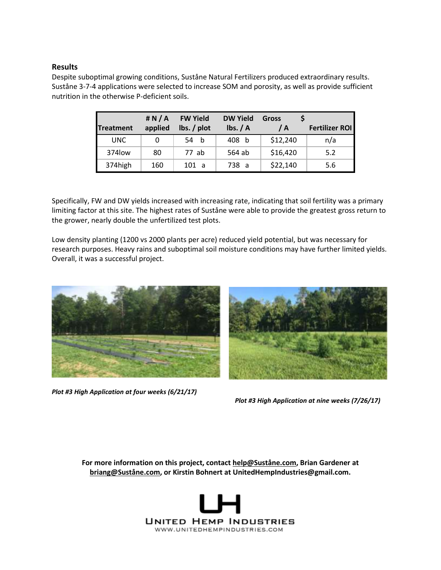# **Results**

Despite suboptimal growing conditions, Suståne Natural Fertilizers produced extraordinary results. Suståne 3-7-4 applications were selected to increase SOM and porosity, as well as provide sufficient nutrition in the otherwise P-deficient soils.

|           | # N/A   | <b>FW Yield</b>        | <b>DW Yield</b> | <b>Gross</b> |                       |
|-----------|---------|------------------------|-----------------|--------------|-----------------------|
| Treatment | applied | $\mathsf{lbs.}$ / plot | Ibs. / A        | / A          | <b>Fertilizer ROI</b> |
| UNC.      |         | 54<br>- b              | 408 b           | \$12,240     | n/a                   |
| 374low    | 80      | 77 ab                  | 564 ab          | \$16,420     | 5.2                   |
| 374high   | 160     | 101 a                  | 738 a           | \$22,140     | 5.6                   |

Specifically, FW and DW yields increased with increasing rate, indicating that soil fertility was a primary limiting factor at this site. The highest rates of Suståne were able to provide the greatest gross return to the grower, nearly double the unfertilized test plots.

Low density planting (1200 vs 2000 plants per acre) reduced yield potential, but was necessary for research purposes. Heavy rains and suboptimal soil moisture conditions may have further limited yields. Overall, it was a successful project.



*Plot #3 High Application at four weeks (6/21/17)* 

*Plot #3 High Application at nine weeks (7/26/17)*

**For more information on this project, contact [help@Suståne.com,](mailto:help@sustane.com) Brian Gardener at [briang@Suståne.com,](mailto:briang@sustane.com) or Kirstin Bohnert at UnitedHempIndustries@gmail.com.**

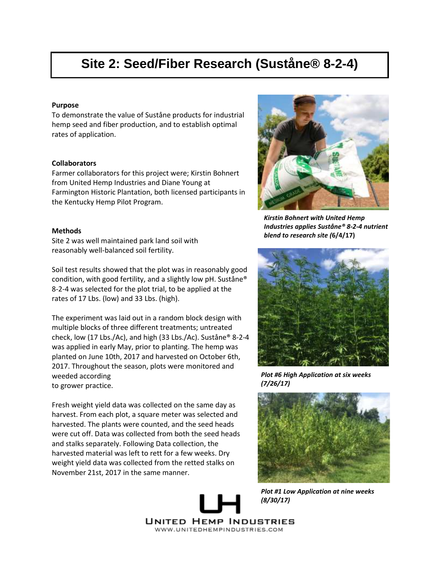# **Site 2: Seed/Fiber Research (Suståne® 8-2-4)**

#### **Purpose**

To demonstrate the value of Suståne products for industrial hemp seed and fiber production, and to establish optimal rates of application.

#### **Collaborators**

Farmer collaborators for this project were; Kirstin Bohnert from United Hemp Industries and Diane Young at Farmington Historic Plantation, both licensed participants in the Kentucky Hemp Pilot Program.

### **Methods**

Site 2 was well maintained park land soil with reasonably well-balanced soil fertility.

Soil test results showed that the plot was in reasonably good condition, with good fertility, and a slightly low pH. Suståne® 8-2-4 was selected for the plot trial, to be applied at the rates of 17 Lbs. (low) and 33 Lbs. (high).

The experiment was laid out in a random block design with multiple blocks of three different treatments; untreated check, low (17 Lbs./Ac), and high (33 Lbs./Ac). Suståne® 8-2-4 was applied in early May, prior to planting. The hemp was planted on June 10th, 2017 and harvested on October 6th, 2017. Throughout the season, plots were monitored and weeded according to grower practice.

Fresh weight yield data was collected on the same day as harvest. From each plot, a square meter was selected and harvested. The plants were counted, and the seed heads were cut off. Data was collected from both the seed heads and stalks separately. Following Data collection, the harvested material was left to rett for a few weeks. Dry weight yield data was collected from the retted stalks on November 21st, 2017 in the same manner.



*Kirstin Bohnert with United Hemp Industries applies Suståne® 8-2-4 nutrient blend to research site (***6/4/17)**



*Plot #6 High Application at six weeks (7/26/17)*



*Plot #1 Low Application at nine weeks (8/30/17)*